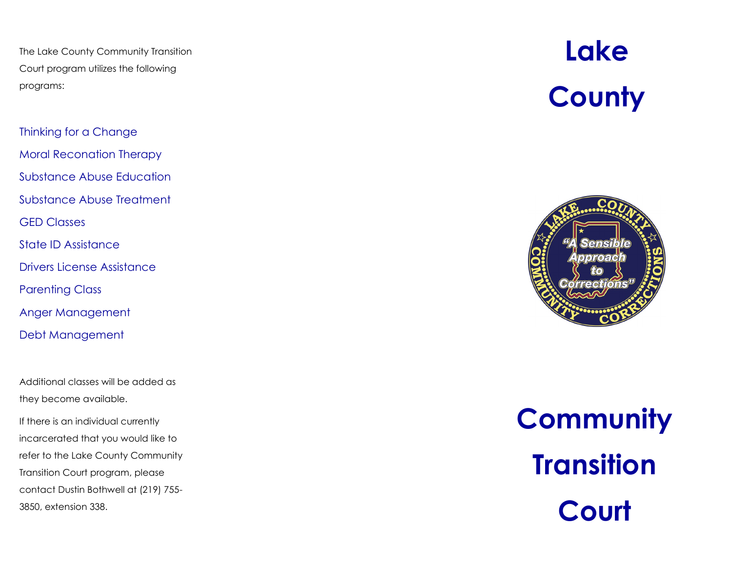The Lake County Community Transition Court program utilizes the following programs:

Thinking for a Change Moral Reconation Therapy Substance Abuse Education Substance Abuse Treatment GED Classes State ID Assistance Drivers License Assistance

Parenting Class

Anger Management

Debt Management

Additional classes will be added as they become available.

If there is an individual currently incarcerated that you would like to refer to the Lake County Community Transition Court program, please contact Dustin Bothwell at (219) 755 - 3850, extension 338.

# **Lake County**



**Community Transition Court**